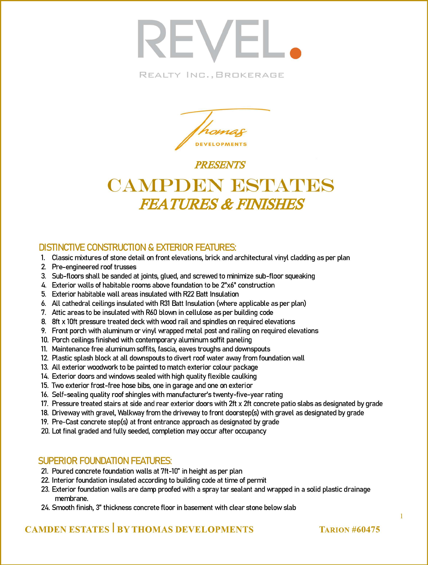

REALTY INC., BROKERAGE



**PRESENTS** 

# CAMPDEN BSTATES **FEATURES & FINISHES**

### **DISTINCTIVE CONSTRUCTION & EXTERIOR FEATURES:**

- 1. Classic mixtures of stone detail on front elevations, brick and architectural vinyl cladding as per plan
- 2. Pre-engineered roof trusses
- 3. Sub-floors shall be sanded at joints, glued, and screwed to minimize sub-floor squeaking
- 4. Exterior walls of habitable rooms above foundation to be 2"x6" construction
- 5. Exterior habitable wall areas insulated with R22 Batt Insulation
- 6. All cathedral ceilings insulated with R31 Batt Insulation (where applicable as per plan)
- 7. Attic areas to be insulated with R60 blown in cellulose as per building code
- 8. 8ft x 10ft pressure treated deck with wood rail and spindles on required elevations
- 9. Front porch with aluminum or vinyl wrapped metal post and railing on required elevations
- 10. Porch ceilings finished with contemporary aluminum soffit paneling
- 11. Maintenance free aluminum soffits, fascia, eaves troughs and downspouts
- 12. Plastic splash block at all downspouts to divert roof water away from foundation wall
- 13. All exterior woodwork to be painted to match exterior colour package
- 14. Exterior doors and windows sealed with high quality flexible caulking
- 15. Two exterior frost-free hose bibs, one in garage and one on exterior
- 16. Self-sealing quality roof shingles with manufacturer's twenty-five-year rating
- 17. Pressure treated stairs at side and rear exterior doors with 2ft x 2ft concrete patio slabs as designated by grade
- 18. Driveway with gravel, Walkway from the driveway to front doorstep(s) with gravel as designated by grade
- 19. Pre-Cast concrete step(s) at front entrance approach as designated by grade
- 20. Lot final graded and fully seeded, completion may occur after occupancy

### **SUPERIOR FOUNDATION FEATURES:**

- 21. Poured concrete foundation walls at 7ft-10" in height as per plan
- 22. Interior foundation insulated according to building code at time of permit
- 23. Exterior foundation walls are damp proofed with a spray tar sealant and wrapped in a solid plastic drainage membrane.
- 24. Smooth finish, 3" thickness concrete floor in basement with clear stone below slab

# **CAMDEN ESTATES BY THOMAS DEVELOPMENTS**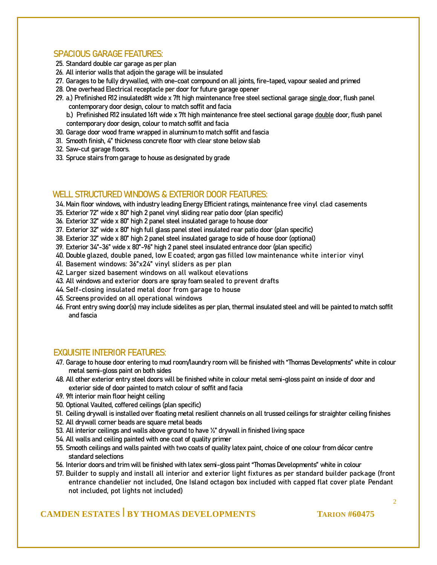#### **SPACIOUS GARAGE FEATURES:**

- **25.** Standard double car garage as per plan
- **26.** All interior walls that adjoin the garage will be insulated
- **27.** Garages to be fully drywalled, with one-coat compound on all joints, fire-taped, vapour sealed and primed
- **28.** One overhead Electrical receptacle per door for future garage opener
- **29. a.)** Prefinished R12 insulated8ft wide x 7ft high maintenance free steel sectional garage single door, flush panel contemporary door design, colour to match soffit and facia
	- **b.)** Prefinished R12 insulated 16ft wide x 7ft high maintenance free steel sectional garage double door, flush panel contemporary door design, colour to match soffit and facia
- **30.** Garage door wood frame wrapped in aluminum to match soffit and fascia
- **31.** Smooth finish, 4" thickness concrete floor with clear stone below slab
- **32.** Saw-cut garage floors.
- **33.** Spruce stairs from garage to house as designated by grade

#### **WELL STRUCTURED WINDOWS & EXTERIOR DOOR FEATURES:**

**34.**Main floor windows, with industry leading Energy Efficient ratings, maintenance free vinyl clad casements

- **35.** Exterior 72" wide x 80" high 2 panel vinyl sliding rear patio door (plan specific)
- **36.** Exterior 32" wide x 80" high 2 panel steel insulated garage to house door
- **37.** Exterior 32" wide x 80" high full glass panel steel insulated rear patio door (plan specific)
- **38.** Exterior 32" wide x 80" high 2 panel steel insulated garage to side of house door (optional)
- **39.** Exterior 34"-36" wide x 80"-96" high 2 panel steel insulated entrance door (plan specific)
- **40.** Double glazed, double paned, low E coated; argon gas filled low maintenance white interior vinyl
- **41.** Basement windows: 36"x24" vinyl sliders as per plan
- **42.** Larger sized basement windows on all walkout elevations
- **43.** All windows and exterior doors are spray foam sealed to prevent drafts
- **44.** Self-closing insulated metal door from garage to house
- **45.** Screens provided on all operational windows
- **46.** Front entry swing door(s) may include sidelites as per plan, thermal insulated steel and will be painted to match soffit and fascia

#### **EXQUISITE INTERIOR FEATURES:**

- **47.** Garage to house door entering to mud room/laundry room will be finished with "Thomas Developments" white in colour metal semi-gloss paint on both sides
- **48.** All other exterior entry steel doors will be finished white in colour metal semi-gloss paint on inside of door and exterior side of door painted to match colour of soffit and facia
- **49.** 9ft interior main floor height ceiling
- **50.** Optional Vaulted, coffered ceilings (plan specific)
- **51.** Ceiling drywall is installed over floating metal resilient channels on all trussed ceilings for straighter ceiling finishes
- **52.** All drywall corner beads are square metal beads
- **53.** All interior ceilings and walls above ground to have ½" drywall in finished living space
- **54.** All walls and ceiling painted with one coat of quality primer
- **55.** Smooth ceilings and walls painted with two coats of quality latex paint, choice of one colour from décor centre standard selections
- **56.** Interior doors and trim will be finished with latex semi-gloss paint "Thomas Developments" white in colour
- **57.** Builder to supply and install all interior and exterior light fixtures as per standard builder package (front entrance chandelier not included, One Island octagon box included with capped flat cover plate Pendant not included, pot lights not included)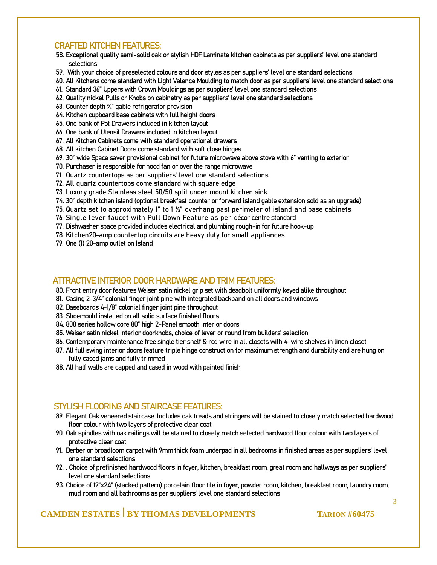#### **CRAFTED KITCHEN FEATURES:**

- **58.** Exceptional quality semi-solid oak or stylish HDF Laminate kitchen cabinets as per suppliers' level one standard selections
- **59.** With your choice of preselected colours and door styles as per suppliers' level one standard selections
- **60.** All Kitchens come standard with Light Valence Moulding to match door as per suppliers' level one standard selections
- **61.** Standard 36" Uppers with Crown Mouldings as per suppliers' level one standard selections
- **62.** Quality nickel Pulls or Knobs on cabinetry as per suppliers' level one standard selections
- **63.** Counter depth ¾" gable refrigerator provision
- **64.** Kitchen cupboard base cabinets with full height doors
- **65.** One bank of Pot Drawers included in kitchen layout
- **66.** One bank of Utensil Drawers included in kitchen layout
- **67.** All Kitchen Cabinets come with standard operational drawers
- **68.** All kitchen Cabinet Doors come standard with soft close hinges
- **69.** 30" wide Space saver provisional cabinet for future microwave above stove with 6" venting to exterior
- **70.** Purchaser is responsible for hood fan or over the range microwave
- **71.** Quartz countertops as per suppliers' level one standard selections
- **72.** All quartz countertops come standard with square edge
- **73.** Luxury grade Stainless steel 50/50 split under mount kitchen sink
- **74.** 30" depth kitchen island (optional breakfast counter or forward island gable extension sold as an upgrade)
- **75.** Quartz set to approximately 1" to 1 ½" overhang past perimeter of island and base cabinets
- **76.** Single lever faucet with Pull Down Feature as per décor centre standard
- **77.** Dishwasher space provided includes electrical and plumbing rough-in for future hook-up
- **78.** Kitchen20-amp countertop circuits are heavy duty for small appliances
- **79.** One (1) 20-amp outlet on Island

#### **ATTRACTIVE INTERIOR DOOR HARDWARE AND TRIM FEATURES:**

- **80.** Front entry door features Weiser satin nickel grip set with deadbolt uniformly keyed alike throughout
- **81.** Casing 2-3/4" colonial finger joint pine with integrated backband on all doors and windows
- **82.** Baseboards 4-1/8" colonial finger joint pine throughout
- **83.** Shoemould installed on all solid surface finished floors
- **84.** 800 series hollow core 80" high 2-Panel smooth interior doors
- **85.** Weiser satin nickel interior doorknobs, choice of lever or round from builders' selection
- **86.** Contemporary maintenance free single tier shelf & rod wire in all closets with 4-wire shelves in linen closet
- **87.** All full swing interior doors feature triple hinge construction for maximum strength and durability and are hung on fully cased jams and fully trimmed
- **88.** All half walls are capped and cased in wood with painted finish

### **STYLISH FLOORING AND STAIRCASE FEATURES:**

- **89.** Elegant Oak veneered staircase. Includes oak treads and stringers will be stained to closely match selected hardwood floor colour with two layers of protective clear coat
- **90.** Oak spindles with oak railings will be stained to closely match selected hardwood floor colour with two layers of protective clear coat
- **91.** Berber or broadloom carpet with 9mm thick foam underpad in all bedrooms in finished areas as per suppliers' level one standard selections
- **92.** . Choice of prefinished hardwood floors in foyer, kitchen, breakfast room, great room and hallways as per suppliers' level one standard selections
- **93.** Choice of 12"x24" (stacked pattern) porcelain floor tile in foyer, powder room, kitchen, breakfast room, laundry room, mud room and all bathrooms as per suppliers' level one standard selections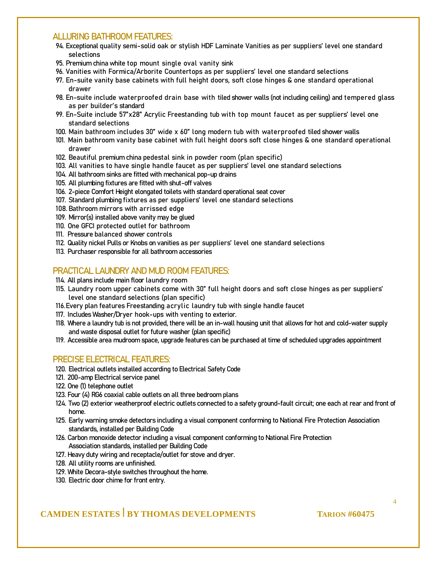#### **ALLURING BATHROOM FEATURES:**

- **94.** Exceptional quality semi-solid oak or stylish HDF Laminate Vanities as per suppliers' level one standard selections
- **95.** Premium china white top mount single oval vanity sink
- **96.** Vanities with Formica/Arborite Countertops as per suppliers' level one standard selections
- **97.** En-suite vanity base cabinets with full height doors, soft close hinges & one standard operational drawer
- **98.** En-suite include waterproofed drain base with tiled shower walls (not including ceiling) and tempered glass as per builder's standard
- **99.** En-Suite include 57"x28" Acrylic Freestanding tub with top mount faucet as per suppliers' level one standard selections
- **100.** Main bathroom includes 30" wide x 60" long modern tub with waterproofed tiled shower walls
- **101.** Main bathroom vanity base cabinet with full height doors soft close hinges & one standard operational drawer
- **102.** Beautiful premium china pedestal sink in powder room (plan specific)
- **103.** All vanities to have single handle faucet as per suppliers' level one standard selections
- **104.** All bathroom sinks are fitted with mechanical pop-up drains
- **105.** All plumbing fixtures are fitted with shut-off valves
- **106.** 2-piece Comfort Height elongated toilets with standard operational seat cover
- **107.** Standard plumbing fixtures as per suppliers' level one standard selections
- **108.** Bathroom mirrors with arrissed edge
- **109.** Mirror(s) installed above vanity may be glued
- **110.** One GFCI protected outlet for bathroom
- **111.** Pressure balanced shower controls
- **112.** Quality nickel Pulls or Knobs on vanities as per suppliers' level one standard selections
- **113.** Purchaser responsible for all bathroom accessories

### **PRACTICAL LAUNDRY AND MUD ROOM FEATURES:**

**114.** All plans include main floor laundry room

- **115.** Laundry room upper cabinets come with 30" full height doors and soft close hinges as per suppliers' level one standard selections (plan specific)
- **116.**Every plan features Freestanding acrylic laundry tub with single handle faucet
- **117.** Includes Washer**/**Dryer hook-ups with venting to exterior.
- **118.** Where a laundry tub is not provided, there will be an in-wall housing unit that allows for hot and cold-water supply and waste disposal outlet for future washer (plan specific)
- **119.** Accessible area mudroom space, upgrade features can be purchased at time of scheduled upgrades appointment

#### **PRECISE ELECTRICAL FEATURES:**

- **120.** Electrical outlets installed according to Electrical Safety Code
- **121.** 200-amp Electrical service panel
- **122.** One (1) telephone outlet
- **123.** Four (4) RG6 coaxial cable outlets on all three bedroom plans
- **124.** Two (2) exterior weatherproof electric outlets connected to a safety ground-fault circuit; one each at rear and front of home.
- **125.** Early warning smoke detectors including a visual component conforming to National Fire Protection Association standards, installed per Building Code
- **126.** Carbon monoxide detector including a visual component conforming to National Fire Protection Association standards, installed per Building Code
- **127.** Heavy duty wiring and receptacle/outlet for stove and dryer.
- **128.** All utility rooms are unfinished.
- **129.** White Decora-style switches throughout the home.
- **130.** Electric door chime for front entry.